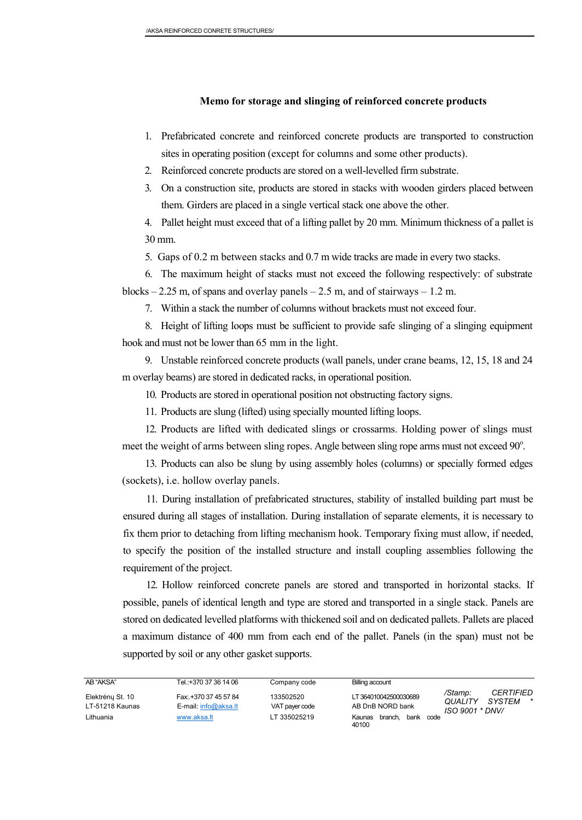#### **Memo for storage and slinging of reinforced concrete products**

- 1. Prefabricated concrete and reinforced concrete products are transported to construction sites in operating position (except for columns and some other products).
- 2. Reinforced concrete products are stored on a well-levelled firm substrate.
- 3. On a construction site, products are stored in stacks with wooden girders placed between them. Girders are placed in a single vertical stack one above the other.

4. Pallet height must exceed that of a lifting pallet by 20 mm. Minimum thickness of a pallet is 30 mm.

5. Gaps of 0.2 m between stacks and 0.7 m wide tracks are made in every two stacks.

6. The maximum height of stacks must not exceed the following respectively: of substrate blocks  $-2.25$  m, of spans and overlay panels  $-2.5$  m, and of stairways  $-1.2$  m.

7. Within a stack the number of columns without brackets must not exceed four.

8. Height of lifting loops must be sufficient to provide safe slinging of a slinging equipment hook and must not be lower than 65 mm in the light.

9. Unstable reinforced concrete products (wall panels, under crane beams, 12, 15, 18 and 24 m overlay beams) are stored in dedicated racks, in operational position.

10. Products are stored in operational position not obstructing factory signs.

11. Products are slung (lifted) using specially mounted lifting loops.

12. Products are lifted with dedicated slings or crossarms. Holding power of slings must meet the weight of arms between sling ropes. Angle between sling rope arms must not exceed 90°.

13. Products can also be slung by using assembly holes (columns) or specially formed edges (sockets), i.e. hollow overlay panels.

11. During installation of prefabricated structures, stability of installed building part must be ensured during all stages of installation. During installation of separate elements, it is necessary to fix them prior to detaching from lifting mechanism hook. Temporary fixing must allow, if needed, to specify the position of the installed structure and install coupling assemblies following the requirement of the project.

12. Hollow reinforced concrete panels are stored and transported in horizontal stacks. If possible, panels of identical length and type are stored and transported in a single stack. Panels are stored on dedicated levelled platforms with thickened soil and on dedicated pallets. Pallets are placed a maximum distance of 400 mm from each end of the pallet. Panels (in the span) must not be supported by soil or any other gasket supports.

| AB "AKSA"                           | Tel.:+370 37 36 14 06                         | Company code                | Billing account                            |                                                                                       |
|-------------------------------------|-----------------------------------------------|-----------------------------|--------------------------------------------|---------------------------------------------------------------------------------------|
| Elektrėnų St. 10<br>LT-51218 Kaunas | Fax: +370 37 45 57 84<br>E-mail: info@aksa.lt | 133502520<br>VAT payer code | LT 364010042500030689<br>AB DnB NORD bank  | /Stamp:<br><i><b>CERTIFIED</b></i><br>QUALITY<br>SYSTEM<br>$\star$<br>ISO 9001 * DNV/ |
| Lithuania                           | www.aksa.lt                                   | LT 335025219                | bank<br>Kaunas<br>branch.<br>code<br>40100 |                                                                                       |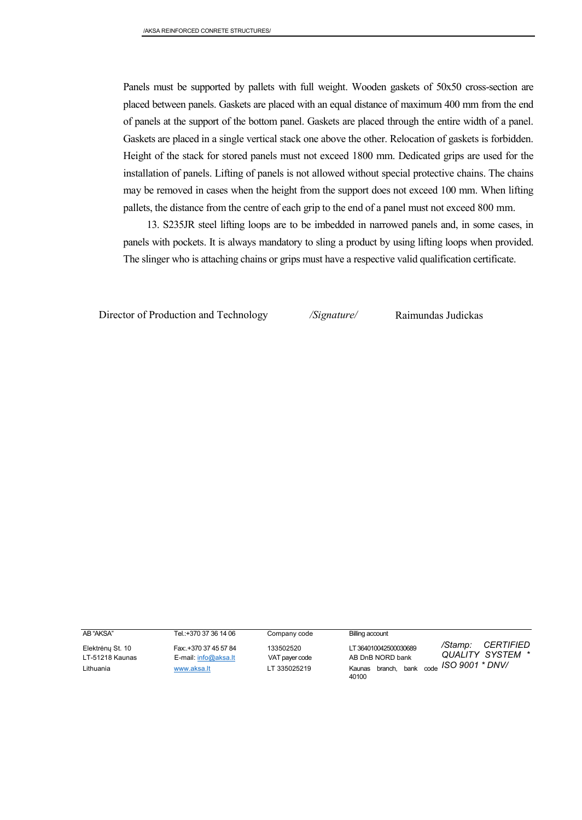Panels must be supported by pallets with full weight. Wooden gaskets of 50x50 cross-section are placed between panels. Gaskets are placed with an equal distance of maximum 400 mm from the end of panels at the support of the bottom panel. Gaskets are placed through the entire width of a panel. Gaskets are placed in a single vertical stack one above the other. Relocation of gaskets is forbidden. Height of the stack for stored panels must not exceed 1800 mm. Dedicated grips are used for the installation of panels. Lifting of panels is not allowed without special protective chains. The chains may be removed in cases when the height from the support does not exceed 100 mm. When lifting pallets, the distance from the centre of each grip to the end of a panel must not exceed 800 mm.

13. S235JR steel lifting loops are to be imbedded in narrowed panels and, in some cases, in panels with pockets. It is always mandatory to sling a product by using lifting loops when provided. The slinger who is attaching chains or grips must have a respective valid qualification certificate.

Director of Production and Technology */Signature/* Raimundas Judickas

AB "AKSA" Tel.:+370 37 36 14 06 Company code Billing account

Lithuania **WWW.aksa.lt** LT 335025219 Kaunas branch, bank code **ISO 9001 \* DNV** Elektrėnų St. 10 Fax:.+370 37 45 57 84 133502520 LT 364010042500030689 LT-51218 Kaunas E-mail[: info@aksa.lt](mailto:info@aksa.lt) VAT payer code AB DnB NORD bank 40100

*/Stamp: CERTIFIED QUALITY SYSTEM \**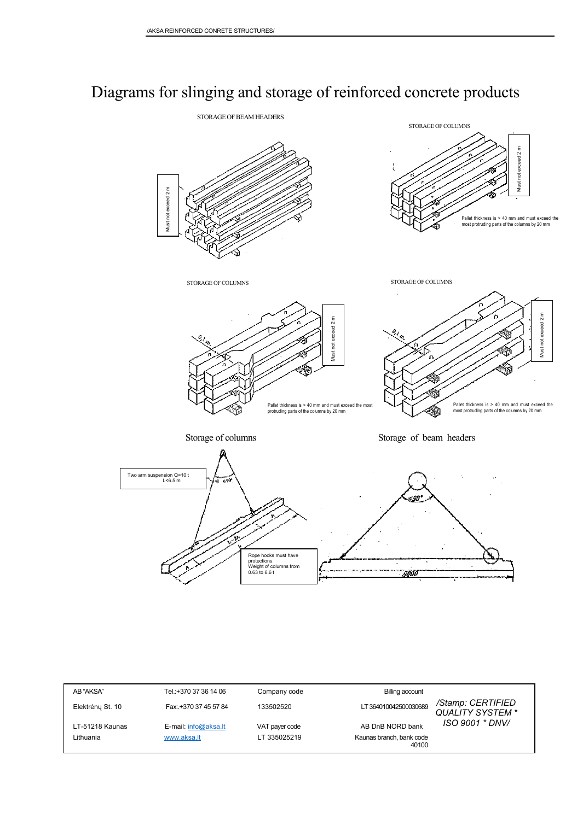# Diagrams for slinging and storage of reinforced concrete products



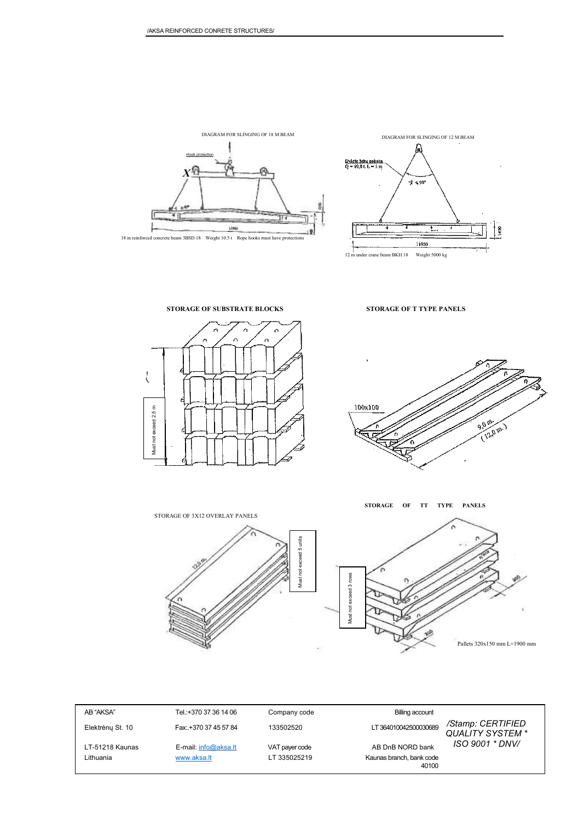

DIAGRAM FOR SLINGING OF 18 M BEAM



**STORAGE OF SUBSTRATE BLOCKS STORAGE OF T TYPE PANELS**



100x100  $\frac{9000}{9000}$ 12.0 m.)



**STORAGE OF TT TYPE PANELS**





| AB "AKSA"        | Tel.:+370 37 36 14 06 | Company code   | <b>Billing account</b>            |                                             |
|------------------|-----------------------|----------------|-----------------------------------|---------------------------------------------|
| Elektrény St. 10 | Fax: +370 37 45 57 84 | 133502520      | LT 364010042500030689             | /Stamp: CERTIFIED<br><b>QUALITY SYSTEM*</b> |
| LT-51218 Kaunas  | E-mail: info@aksa.lt  | VAT payer code | AB DnB NORD bank                  | ISO 9001 * DNV/                             |
| Lithuania        | www.aksa.lt           | LT 335025219   | Kaunas branch, bank code<br>40100 |                                             |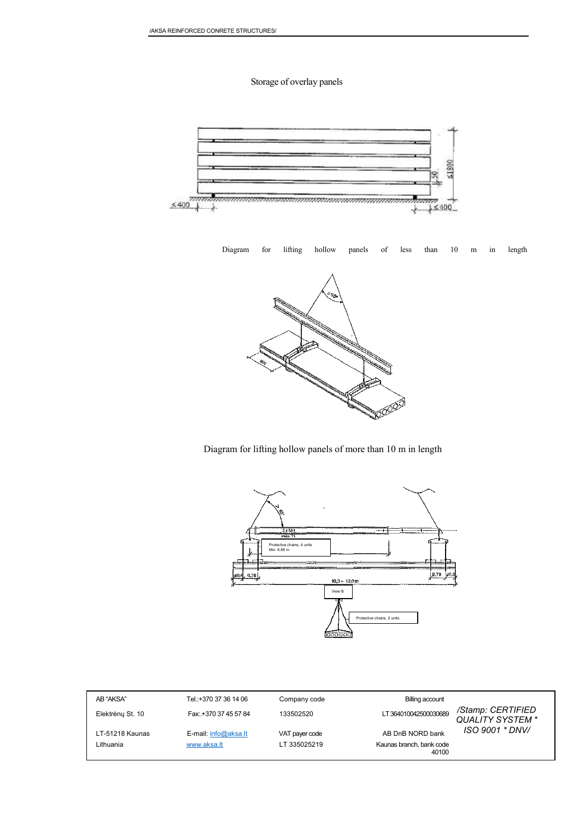### Storage of overlay panels



Diagram for lifting hollow panels of less than 10 m in length



Diagram for lifting hollow panels of more than 10 m in length



| AB "AKSA"        | Tel.:+370 37 36 14 06 | Company code   | Billing account                   |                                       |
|------------------|-----------------------|----------------|-----------------------------------|---------------------------------------|
| Elektrény St. 10 | Fax: +370 37 45 57 84 | 133502520      | LT 364010042500030689             | /Stamp: CERTIFIED<br>QUALITY SYSTEM * |
| LT-51218 Kaunas  | E-mail: info@aksa.lt  | VAT payer code | AB DnB NORD bank                  | ISO 9001 * DNV/                       |
| Lithuania        | www.aksa.lt           | LT 335025219   | Kaunas branch, bank code<br>40100 |                                       |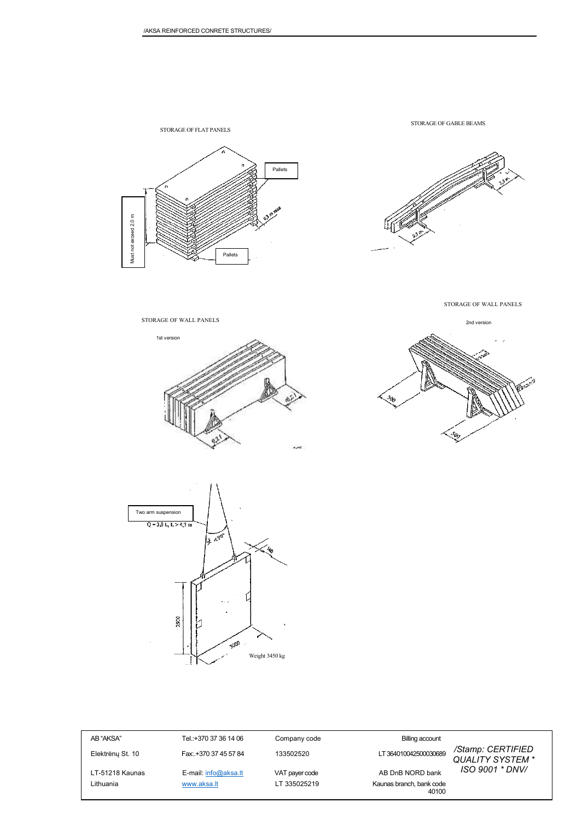

STORAGE OF GABLE BEAMS



STORAGE OF WALL PANELS











AB "AKSA" Tel.:+370 37 36 14 06 Company code Billing account

Elektrėnų St. 10 Fax:.+370 37 45 57 84 133502520 LT 364010042500030689 LT-51218 Kaunas E-mail[: info@aksa.lt](mailto:info@aksa.lt) VAT payer code AB DnB NORD bank

Lithuania **WWW.aksa.lt** LT 335025219 Kaunas branch, bank code 40100

*/Stamp: CERTIFIED QUALITY SYSTEM \* ISO 9001 \* DNV/*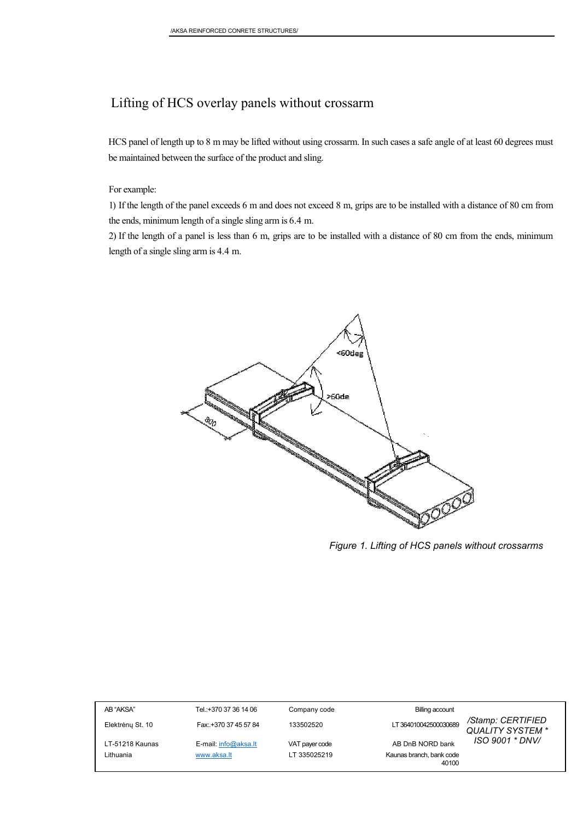### Lifting of HCS overlay panels without crossarm

HCS panel of length up to 8 m may be lifted without using crossarm. In such cases a safe angle of at least 60 degrees must be maintained between the surface of the product and sling.

For example:

1) If the length of the panel exceeds 6 m and does not exceed 8 m, grips are to be installed with a distance of 80 cm from the ends, minimum length of a single sling arm is 6.4 m.

2) If the length of a panel is less than 6 m, grips are to be installed with a distance of 80 cm from the ends, minimum length of a single sling arm is 4.4 m.



*Figure 1. Lifting of HCS panels without crossarms*

| AB "AKSA"        | Tel.:+370 37 36 14 06 | Company code   | <b>Billing account</b>                                         |  |
|------------------|-----------------------|----------------|----------------------------------------------------------------|--|
| Elektrény St. 10 | Fax: +370 37 45 57 84 | 133502520      | /Stamp: CERTIFIED<br>LT 364010042500030689<br>QUALITY SYSTEM * |  |
| LT-51218 Kaunas  | E-mail: info@aksa.lt  | VAT payer code | ISO 9001 * DNV/<br>AB DnB NORD bank                            |  |
| Lithuania        | www.aksa.lt           | LT 335025219   | Kaunas branch, bank code<br>40100                              |  |